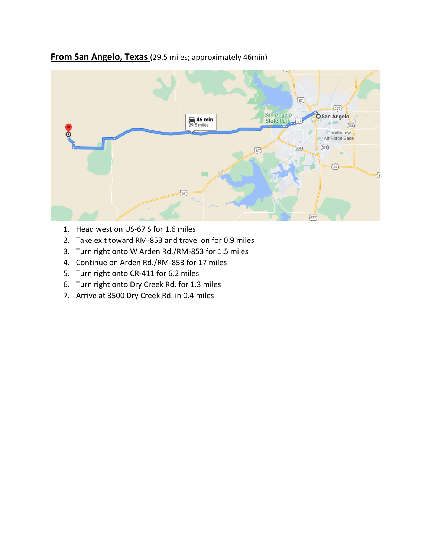## **From San Angelo, Texas** (29.5 miles; approximately 46min)



- 1. Head west on US-67 S for 1.6 miles
- 2. Take exit toward RM-853 and travel on for 0.9 miles
- 3. Turn right onto W Arden Rd./RM-853 for 1.5 miles
- 4. Continue on Arden Rd./RM-853 for 17 miles
- 5. Turn right onto CR-411 for 6.2 miles
- 6. Turn right onto Dry Creek Rd. for 1.3 miles
- 7. Arrive at 3500 Dry Creek Rd. in 0.4 miles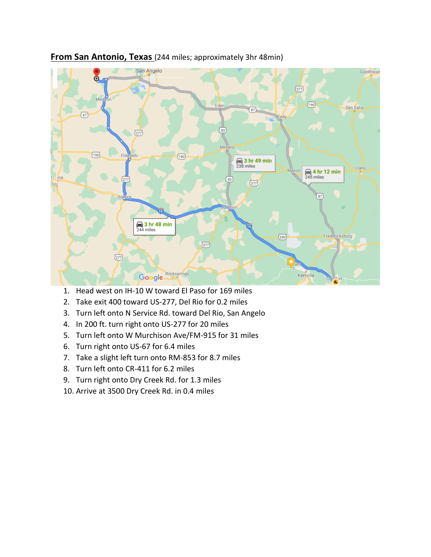

## **From San Antonio, Texas** (244 miles; approximately 3hr 48min)

- 1. Head west on IH-10 W toward El Paso for 169 miles
- 2. Take exit 400 toward US-277, Del Rio for 0.2 miles
- 3. Turn left onto N Service Rd. toward Del Rio, San Angelo
- 4. In 200 ft. turn right onto US-277 for 20 miles
- 5. Turn left onto W Murchison Ave/FM-915 for 31 miles
- 6. Turn right onto US-67 for 6.4 miles
- 7. Take a slight left turn onto RM-853 for 8.7 miles
- 8. Turn left onto CR-411 for 6.2 miles
- 9. Turn right onto Dry Creek Rd. for 1.3 miles
- 10. Arrive at 3500 Dry Creek Rd. in 0.4 miles